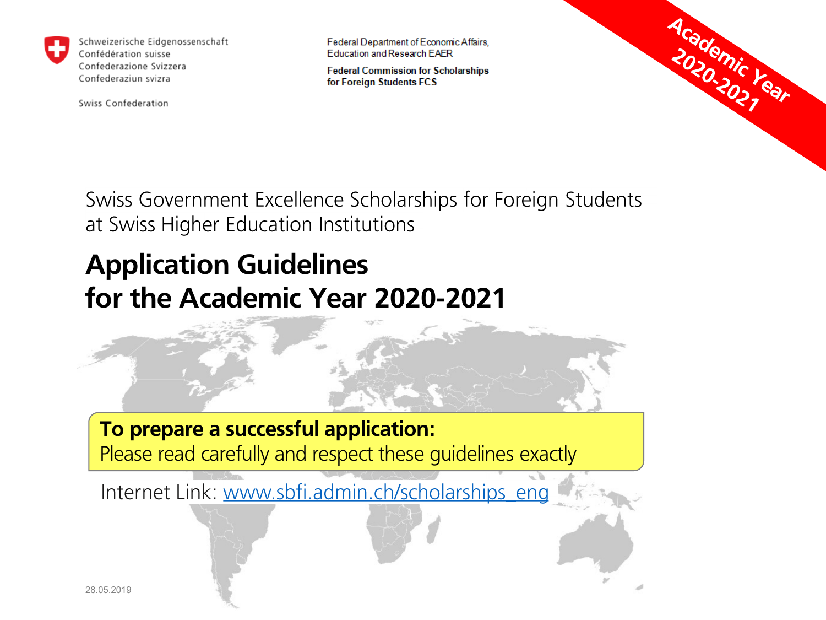

Schweizerische Eidgenossenschaft Confédération suisse Confederazione Svizzera Confederaziun svizra

Swiss Confederation

Federal Department of Economic Affairs, **Education and Research EAER** 

**Federal Commission for Scholarships** for Foreign Students FCS



Swiss Government Excellence Scholarships for Foreign Students at Swiss Higher Education Institutions

### **Application Guidelines for the Academic Year 2020-2021**

### **To prepare a successful application:**

Please read carefully and respect these guidelines exactly

Internet Link: www.sbfi.admin.ch/scholarships\_eng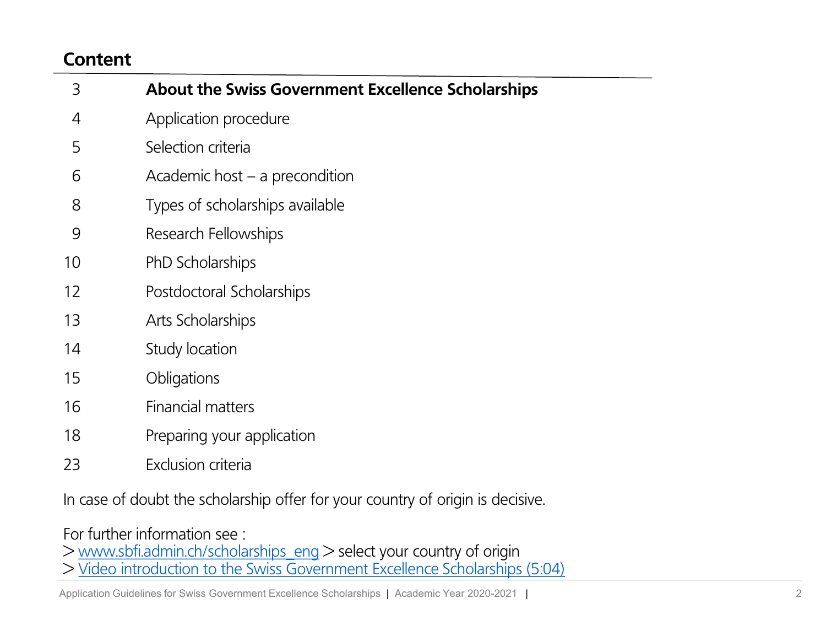#### **Content**

| 3  | <b>About the Swiss Government Excellence Scholarships</b> |
|----|-----------------------------------------------------------|
| 4  | Application procedure                                     |
| 5  | Selection criteria                                        |
| 6  | Academic host $-$ a precondition                          |
| 8  | Types of scholarships available                           |
| 9  | Research Fellowships                                      |
| 10 | PhD Scholarships                                          |
| 12 | Postdoctoral Scholarships                                 |
| 13 | Arts Scholarships                                         |
| 14 | Study location                                            |
| 15 | Obligations                                               |
| 16 | <b>Financial matters</b>                                  |
| 18 | Preparing your application                                |
| 23 | Exclusion criteria                                        |

In case of doubt the scholarship offer for your country of origin is decisive.

For further information see :

> [www.sbfi.admin.ch/scholarships\\_eng](http://www.sbfi.admin.ch/scholarships_eng) > select your country of origin

> [Video introduction to the Swiss Government Excellence Scholarships \(5:04\)](https://www.youtube.com/watch?v=DpHDBWURJNA)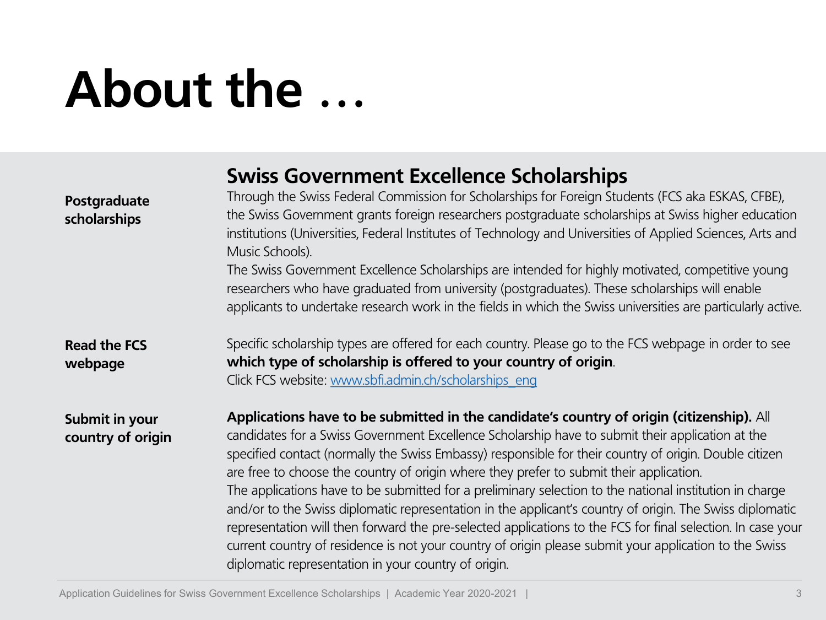### **About the …**

|                                     | <b>Swiss Government Excellence Scholarships</b>                                                                                                                                                                                                                                                                                                                                                                                                                                                                                                                                                                                                                                                                                                                                                                                                                                                            |
|-------------------------------------|------------------------------------------------------------------------------------------------------------------------------------------------------------------------------------------------------------------------------------------------------------------------------------------------------------------------------------------------------------------------------------------------------------------------------------------------------------------------------------------------------------------------------------------------------------------------------------------------------------------------------------------------------------------------------------------------------------------------------------------------------------------------------------------------------------------------------------------------------------------------------------------------------------|
| Postgraduate<br>scholarships        | Through the Swiss Federal Commission for Scholarships for Foreign Students (FCS aka ESKAS, CFBE),<br>the Swiss Government grants foreign researchers postgraduate scholarships at Swiss higher education<br>institutions (Universities, Federal Institutes of Technology and Universities of Applied Sciences, Arts and<br>Music Schools).<br>The Swiss Government Excellence Scholarships are intended for highly motivated, competitive young<br>researchers who have graduated from university (postgraduates). These scholarships will enable<br>applicants to undertake research work in the fields in which the Swiss universities are particularly active.                                                                                                                                                                                                                                          |
|                                     |                                                                                                                                                                                                                                                                                                                                                                                                                                                                                                                                                                                                                                                                                                                                                                                                                                                                                                            |
| <b>Read the FCS</b><br>webpage      | Specific scholarship types are offered for each country. Please go to the FCS webpage in order to see<br>which type of scholarship is offered to your country of origin.<br>Click FCS website: www.sbfi.admin.ch/scholarships eng                                                                                                                                                                                                                                                                                                                                                                                                                                                                                                                                                                                                                                                                          |
| Submit in your<br>country of origin | Applications have to be submitted in the candidate's country of origin (citizenship). All<br>candidates for a Swiss Government Excellence Scholarship have to submit their application at the<br>specified contact (normally the Swiss Embassy) responsible for their country of origin. Double citizen<br>are free to choose the country of origin where they prefer to submit their application.<br>The applications have to be submitted for a preliminary selection to the national institution in charge<br>and/or to the Swiss diplomatic representation in the applicant's country of origin. The Swiss diplomatic<br>representation will then forward the pre-selected applications to the FCS for final selection. In case your<br>current country of residence is not your country of origin please submit your application to the Swiss<br>diplomatic representation in your country of origin. |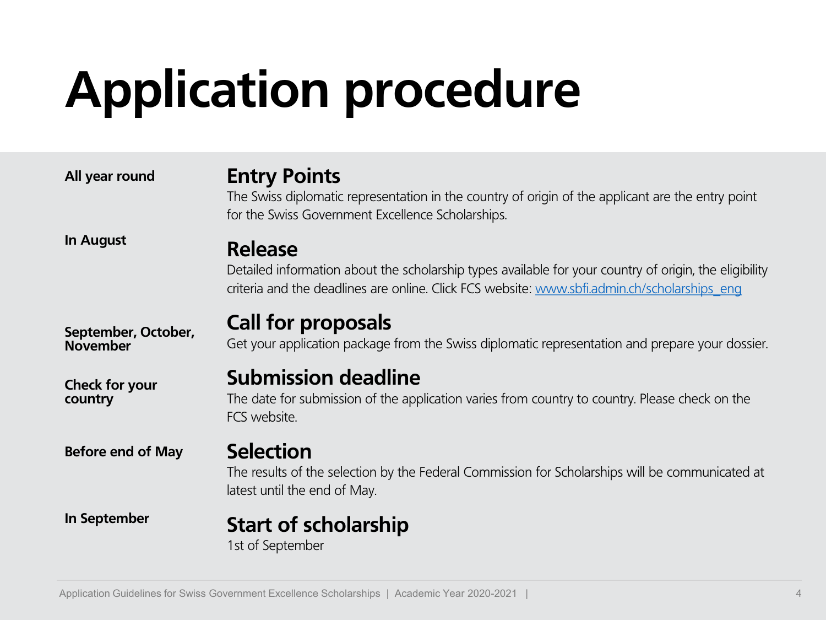## **Application procedure**

| All year round                         | <b>Entry Points</b><br>The Swiss diplomatic representation in the country of origin of the applicant are the entry point<br>for the Swiss Government Excellence Scholarships.                                            |
|----------------------------------------|--------------------------------------------------------------------------------------------------------------------------------------------------------------------------------------------------------------------------|
| In August                              | <b>Release</b><br>Detailed information about the scholarship types available for your country of origin, the eligibility<br>criteria and the deadlines are online. Click FCS website: www.sbfi.admin.ch/scholarships eng |
| September, October,<br><b>November</b> | <b>Call for proposals</b><br>Get your application package from the Swiss diplomatic representation and prepare your dossier.                                                                                             |
| Check for your<br>country              | <b>Submission deadline</b><br>The date for submission of the application varies from country to country. Please check on the<br>FCS website.                                                                             |
| <b>Before end of May</b>               | <b>Selection</b><br>The results of the selection by the Federal Commission for Scholarships will be communicated at<br>latest until the end of May.                                                                      |
| In September                           | <b>Start of scholarship</b><br>1st of September                                                                                                                                                                          |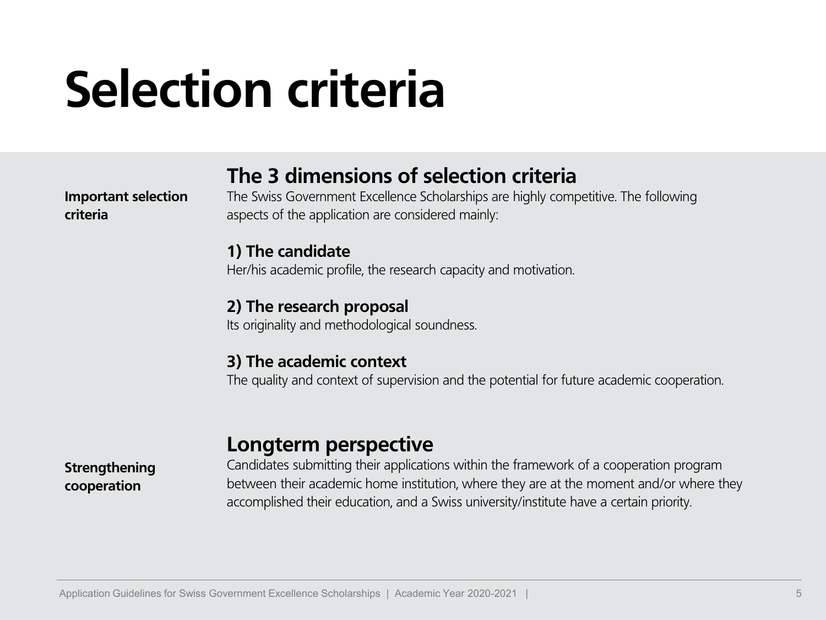### **Selection criteria**

#### **The 3 dimensions of selection criteria**

**Important selection criteria**

The Swiss Government Excellence Scholarships are highly competitive. The following aspects of the application are considered mainly:

#### **1) The candidate**

Her/his academic profile, the research capacity and motivation.

#### **2) The research proposal**

Its originality and methodological soundness.

#### **3) The academic context**

The quality and context of supervision and the potential for future academic cooperation.

#### **Longterm perspective**

**Strengthening cooperation**

Candidates submitting their applications within the framework of a cooperation program between their academic home institution, where they are at the moment and/or where they accomplished their education, and a Swiss university/institute have a certain priority.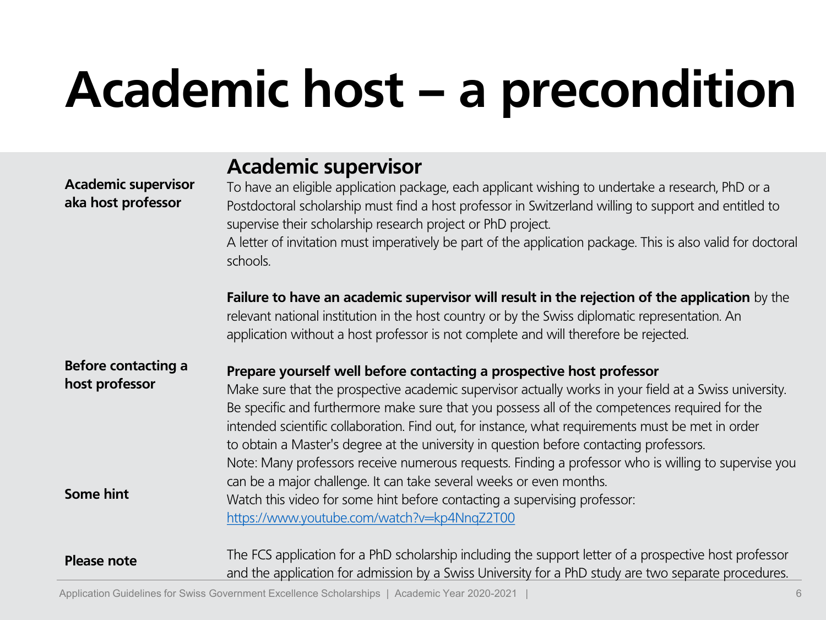## **Academic host – a precondition**

| <b>Academic supervisor</b><br>aka host professor                 | <b>Academic supervisor</b><br>To have an eligible application package, each applicant wishing to undertake a research, PhD or a<br>Postdoctoral scholarship must find a host professor in Switzerland willing to support and entitled to<br>supervise their scholarship research project or PhD project.<br>A letter of invitation must imperatively be part of the application package. This is also valid for doctoral<br>schools.                                                                                                                                                                                                                                                                                                                                                        |
|------------------------------------------------------------------|---------------------------------------------------------------------------------------------------------------------------------------------------------------------------------------------------------------------------------------------------------------------------------------------------------------------------------------------------------------------------------------------------------------------------------------------------------------------------------------------------------------------------------------------------------------------------------------------------------------------------------------------------------------------------------------------------------------------------------------------------------------------------------------------|
|                                                                  | Failure to have an academic supervisor will result in the rejection of the application by the<br>relevant national institution in the host country or by the Swiss diplomatic representation. An<br>application without a host professor is not complete and will therefore be rejected.                                                                                                                                                                                                                                                                                                                                                                                                                                                                                                    |
| <b>Before contacting a</b><br>host professor<br><b>Some hint</b> | Prepare yourself well before contacting a prospective host professor<br>Make sure that the prospective academic supervisor actually works in your field at a Swiss university.<br>Be specific and furthermore make sure that you possess all of the competences required for the<br>intended scientific collaboration. Find out, for instance, what requirements must be met in order<br>to obtain a Master's degree at the university in question before contacting professors.<br>Note: Many professors receive numerous requests. Finding a professor who is willing to supervise you<br>can be a major challenge. It can take several weeks or even months.<br>Watch this video for some hint before contacting a supervising professor:<br>https://www.youtube.com/watch?v=kp4NnqZ2T00 |
| <b>Please note</b>                                               | The FCS application for a PhD scholarship including the support letter of a prospective host professor<br>and the application for admission by a Swiss University for a PhD study are two separate procedures.                                                                                                                                                                                                                                                                                                                                                                                                                                                                                                                                                                              |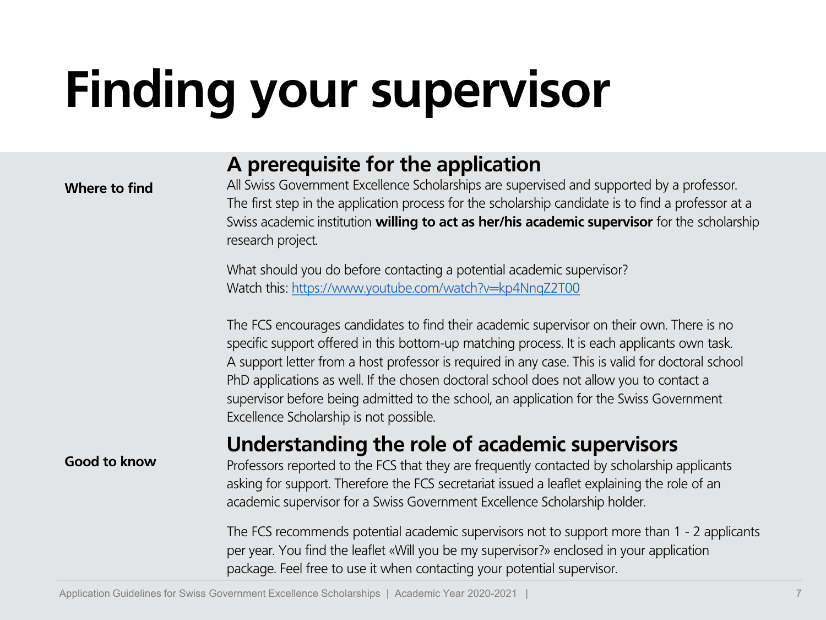## **Finding your supervisor**

#### **A prerequisite for the application**

#### **Where to find**

All Swiss Government Excellence Scholarships are supervised and supported by a professor. The first step in the application process for the scholarship candidate is to find a professor at a Swiss academic institution **willing to act as her/his academic supervisor** for the scholarship research project.

What should you do before contacting a potential academic supervisor? Watch this:<https://www.youtube.com/watch?v=kp4NnqZ2T00>

The FCS encourages candidates to find their academic supervisor on their own. There is no specific support offered in this bottom-up matching process. It is each applicants own task. A support letter from a host professor is required in any case. This is valid for doctoral school PhD applications as well. If the chosen doctoral school does not allow you to contact a supervisor before being admitted to the school, an application for the Swiss Government Excellence Scholarship is not possible.

#### **Understanding the role of academic supervisors**

#### **Good to know**

Professors reported to the FCS that they are frequently contacted by scholarship applicants asking for support. Therefore the FCS secretariat issued a leaflet explaining the role of an academic supervisor for a Swiss Government Excellence Scholarship holder.

The FCS recommends potential academic supervisors not to support more than 1 - 2 applicants per year. You find the leaflet «Will you be my supervisor?» enclosed in your application package. Feel free to use it when contacting your potential supervisor.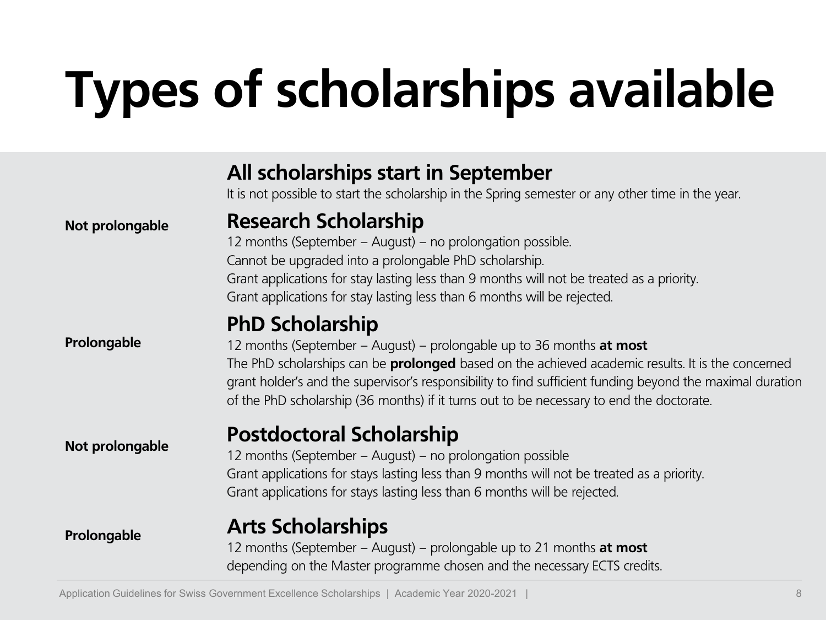## **Types of scholarships available**

|                 | All scholarships start in September<br>It is not possible to start the scholarship in the Spring semester or any other time in the year.                                                                                                                                                                                                                                                                            |
|-----------------|---------------------------------------------------------------------------------------------------------------------------------------------------------------------------------------------------------------------------------------------------------------------------------------------------------------------------------------------------------------------------------------------------------------------|
| Not prolongable | <b>Research Scholarship</b><br>12 months (September - August) - no prolongation possible.<br>Cannot be upgraded into a prolongable PhD scholarship.<br>Grant applications for stay lasting less than 9 months will not be treated as a priority.<br>Grant applications for stay lasting less than 6 months will be rejected.                                                                                        |
| Prolongable     | <b>PhD Scholarship</b><br>12 months (September - August) - prolongable up to 36 months at most<br>The PhD scholarships can be <b>prolonged</b> based on the achieved academic results. It is the concerned<br>grant holder's and the supervisor's responsibility to find sufficient funding beyond the maximal duration<br>of the PhD scholarship (36 months) if it turns out to be necessary to end the doctorate. |
| Not prolongable | <b>Postdoctoral Scholarship</b><br>12 months (September - August) - no prolongation possible<br>Grant applications for stays lasting less than 9 months will not be treated as a priority.<br>Grant applications for stays lasting less than 6 months will be rejected.                                                                                                                                             |
| Prolongable     | <b>Arts Scholarships</b><br>12 months (September - August) - prolongable up to 21 months at most<br>depending on the Master programme chosen and the necessary ECTS credits.                                                                                                                                                                                                                                        |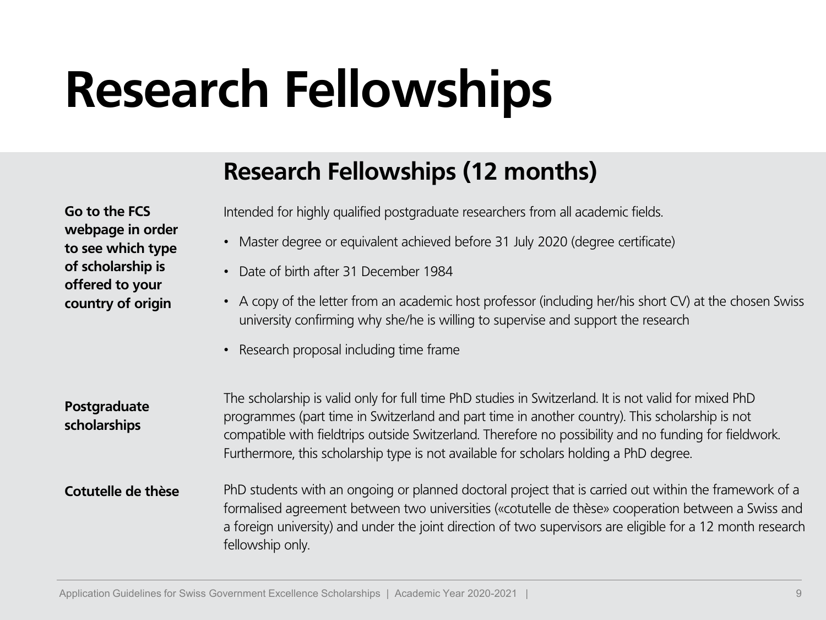### **Research Fellowships**

### **Research Fellowships (12 months)**

**Go to the FCS webpage in order to see which type of scholarship is offered to your country of origin**

Intended for highly qualified postgraduate researchers from all academic fields.

- Master degree or equivalent achieved before 31 July 2020 (degree certificate)
- Date of birth after 31 December 1984
- A copy of the letter from an academic host professor (including her/his short CV) at the chosen Swiss university confirming why she/he is willing to supervise and support the research
- Research proposal including time frame

| Postgraduate<br>scholarships | The scholarship is valid only for full time PhD studies in Switzerland. It is not valid for mixed PhD<br>programmes (part time in Switzerland and part time in another country). This scholarship is not<br>compatible with fieldtrips outside Switzerland. Therefore no possibility and no funding for fieldwork.<br>Furthermore, this scholarship type is not available for scholars holding a PhD degree. |
|------------------------------|--------------------------------------------------------------------------------------------------------------------------------------------------------------------------------------------------------------------------------------------------------------------------------------------------------------------------------------------------------------------------------------------------------------|
|------------------------------|--------------------------------------------------------------------------------------------------------------------------------------------------------------------------------------------------------------------------------------------------------------------------------------------------------------------------------------------------------------------------------------------------------------|

PhD students with an ongoing or planned doctoral project that is carried out within the framework of a formalised agreement between two universities («cotutelle de thèse» cooperation between a Swiss and a foreign university) and under the joint direction of two supervisors are eligible for a 12 month research fellowship only. **Cotutelle de thèse**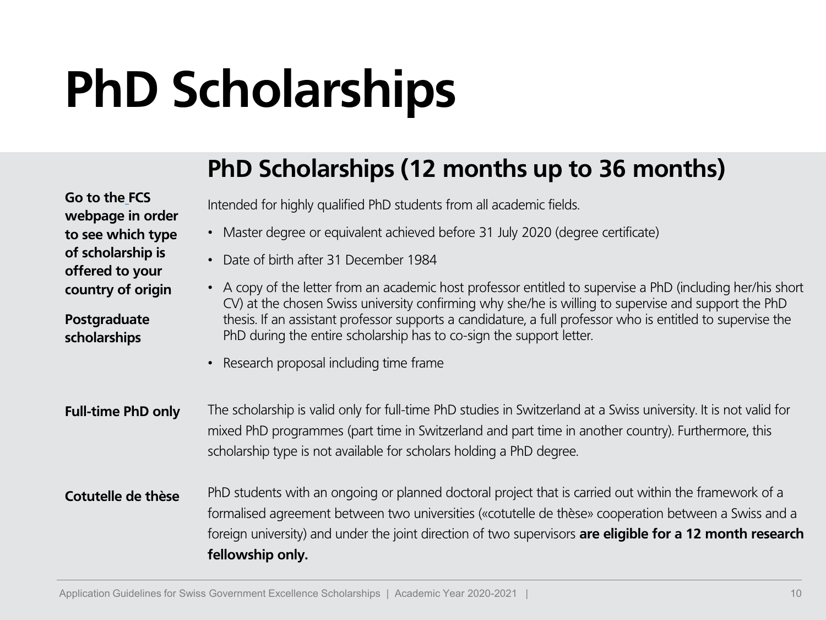### **PhD Scholarships**

### **PhD Scholarships (12 months up to 36 months)**

**Go to the FCS webpage in order to see which type of scholarship is offered to your country of origin**

**Postgraduate scholarships**

Intended for highly qualified PhD students from all academic fields.

- Master degree or equivalent achieved before 31 July 2020 (degree certificate)
- Date of birth after 31 December 1984
- A copy of the letter from an academic host professor entitled to supervise a PhD (including her/his short CV) at the chosen Swiss university confirming why she/he is willing to supervise and support the PhD thesis. If an assistant professor supports a candidature, a full professor who is entitled to supervise the PhD during the entire scholarship has to co-sign the support letter.
- Research proposal including time frame
- The scholarship is valid only for full-time PhD studies in Switzerland at a Swiss university. It is not valid for mixed PhD programmes (part time in Switzerland and part time in another country). Furthermore, this scholarship type is not available for scholars holding a PhD degree. **Full-time PhD only**

PhD students with an ongoing or planned doctoral project that is carried out within the framework of a formalised agreement between two universities («cotutelle de thèse» cooperation between a Swiss and a foreign university) and under the joint direction of two supervisors **are eligible for a 12 month research fellowship only. Cotutelle de thèse**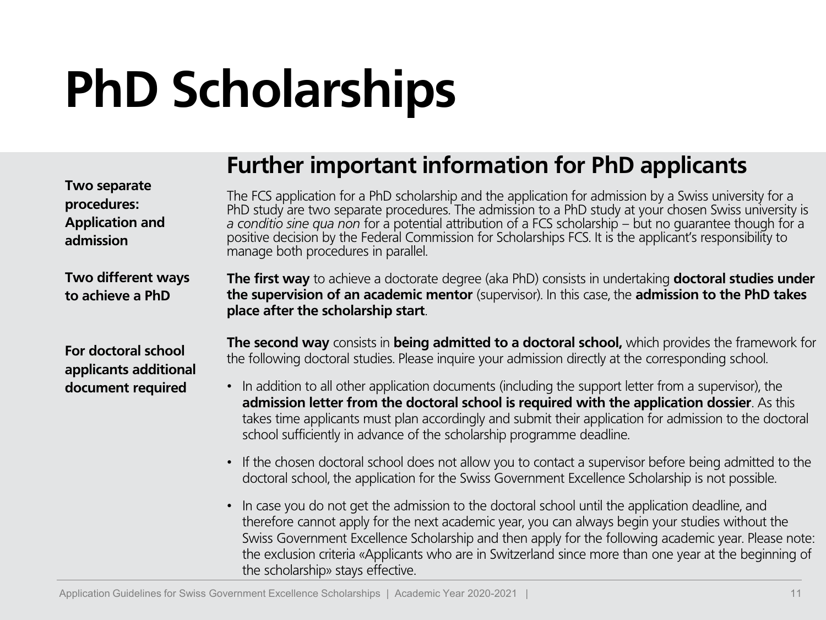### **PhD Scholarships**

**Two separate** 

### **Further important information for PhD applicants**

| <b>TWO Separate</b><br>procedures:<br><b>Application and</b><br>admission | The FCS application for a PhD scholarship and the application for admission by a Swiss university for a<br>PhD study are two separate procedures. The admission to a PhD study at your chosen Swiss university is<br>a conditio sine qua non for a potential attribution of a FCS scholarship – but no quarantee though for a<br>positive decision by the Federal Commission for Scholarships FCS. It is the applicant's responsibility to<br>manage both procedures in parallel.                                                                                                                   |
|---------------------------------------------------------------------------|-----------------------------------------------------------------------------------------------------------------------------------------------------------------------------------------------------------------------------------------------------------------------------------------------------------------------------------------------------------------------------------------------------------------------------------------------------------------------------------------------------------------------------------------------------------------------------------------------------|
| <b>Two different ways</b><br>to achieve a PhD                             | The first way to achieve a doctorate degree (aka PhD) consists in undertaking doctoral studies under<br>the supervision of an academic mentor (supervisor). In this case, the admission to the PhD takes<br>place after the scholarship start.                                                                                                                                                                                                                                                                                                                                                      |
| For doctoral school<br>applicants additional<br>document required         | The second way consists in being admitted to a doctoral school, which provides the framework for<br>the following doctoral studies. Please inquire your admission directly at the corresponding school.<br>• In addition to all other application documents (including the support letter from a supervisor), the<br>admission letter from the doctoral school is required with the application dossier. As this<br>takes time applicants must plan accordingly and submit their application for admission to the doctoral<br>school sufficiently in advance of the scholarship programme deadline. |
|                                                                           | • If the chosen doctoral school does not allow you to contact a supervisor before being admitted to the<br>doctoral school, the application for the Swiss Government Excellence Scholarship is not possible.                                                                                                                                                                                                                                                                                                                                                                                        |
|                                                                           | • In case you do not get the admission to the doctoral school until the application deadline, and<br>therefore cannot apply for the next academic year, you can always begin your studies without the<br>Swiss Government Excellence Scholarship and then apply for the following academic year. Please note:<br>the exclusion criteria «Applicants who are in Switzerland since more than one year at the beginning of<br>the scholarship» stays effective.                                                                                                                                        |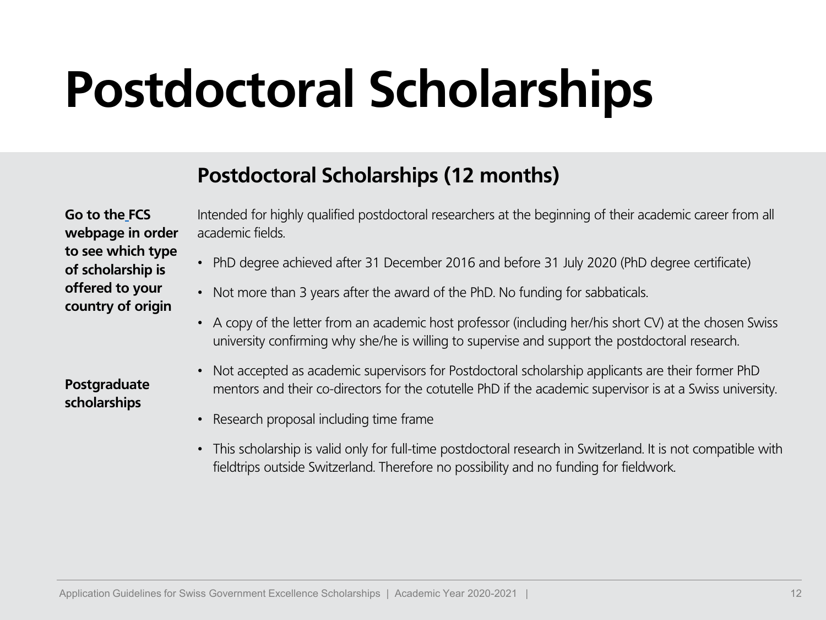### **Postdoctoral Scholarships**

#### **Postdoctoral Scholarships (12 months)**

**Go to the FCS webpage in order to see which type of scholarship is offered to your country of origin**

**Postgraduate scholarships**

Intended for highly qualified postdoctoral researchers at the beginning of their academic career from all academic fields.

- PhD degree achieved after 31 December 2016 and before 31 July 2020 (PhD degree certificate)
- Not more than 3 years after the award of the PhD. No funding for sabbaticals.
- A copy of the letter from an academic host professor (including her/his short CV) at the chosen Swiss university confirming why she/he is willing to supervise and support the postdoctoral research.
- Not accepted as academic supervisors for Postdoctoral scholarship applicants are their former PhD mentors and their co-directors for the cotutelle PhD if the academic supervisor is at a Swiss university.
- Research proposal including time frame
- This scholarship is valid only for full-time postdoctoral research in Switzerland. It is not compatible with fieldtrips outside Switzerland. Therefore no possibility and no funding for fieldwork.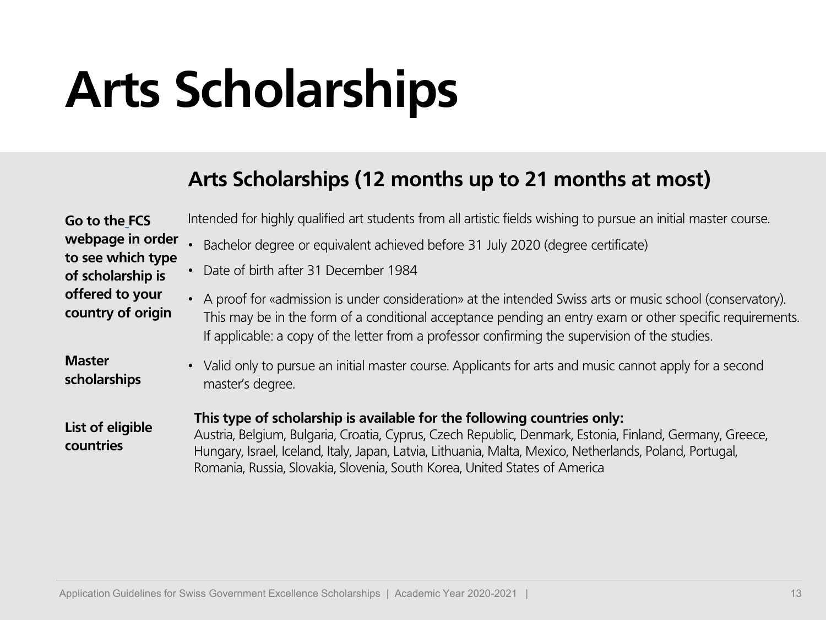### **Arts Scholarships**

#### **Arts Scholarships (12 months up to 21 months at most)**

| Go to the FCS                          | Intended for highly qualified art students from all artistic fields wishing to pursue an initial master course.                                                                                                                                                                                                                                                               |
|----------------------------------------|-------------------------------------------------------------------------------------------------------------------------------------------------------------------------------------------------------------------------------------------------------------------------------------------------------------------------------------------------------------------------------|
| webpage in order                       | Bachelor degree or equivalent achieved before 31 July 2020 (degree certificate)                                                                                                                                                                                                                                                                                               |
| to see which type<br>of scholarship is | Date of birth after 31 December 1984                                                                                                                                                                                                                                                                                                                                          |
| offered to your<br>country of origin   | • A proof for «admission is under consideration» at the intended Swiss arts or music school (conservatory).<br>This may be in the form of a conditional acceptance pending an entry exam or other specific requirements.<br>If applicable: a copy of the letter from a professor confirming the supervision of the studies.                                                   |
| <b>Master</b><br>scholarships          | • Valid only to pursue an initial master course. Applicants for arts and music cannot apply for a second<br>master's degree.                                                                                                                                                                                                                                                  |
| List of eligible<br>countries          | This type of scholarship is available for the following countries only:<br>Austria, Belgium, Bulgaria, Croatia, Cyprus, Czech Republic, Denmark, Estonia, Finland, Germany, Greece,<br>Hungary, Israel, Iceland, Italy, Japan, Latvia, Lithuania, Malta, Mexico, Netherlands, Poland, Portugal,<br>Romania, Russia, Slovakia, Slovenia, South Korea, United States of America |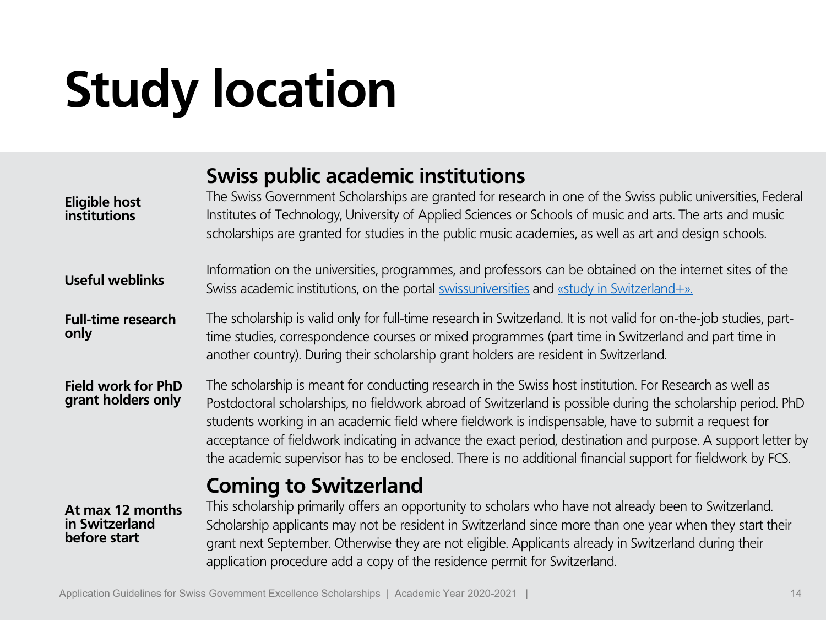### **Study location**

#### **Swiss public academic institutions**

| <b>Eligible host</b><br>institutions               | The Swiss Government Scholarships are granted for research in one of the Swiss public universities, Federal<br>Institutes of Technology, University of Applied Sciences or Schools of music and arts. The arts and music<br>scholarships are granted for studies in the public music academies, as well as art and design schools.                                                                                                                                                                                                                            |
|----------------------------------------------------|---------------------------------------------------------------------------------------------------------------------------------------------------------------------------------------------------------------------------------------------------------------------------------------------------------------------------------------------------------------------------------------------------------------------------------------------------------------------------------------------------------------------------------------------------------------|
| <b>Useful weblinks</b>                             | Information on the universities, programmes, and professors can be obtained on the internet sites of the<br>Swiss academic institutions, on the portal swissuniversities and «study in Switzerland+».                                                                                                                                                                                                                                                                                                                                                         |
| <b>Full-time research</b><br>only                  | The scholarship is valid only for full-time research in Switzerland. It is not valid for on-the-job studies, part-<br>time studies, correspondence courses or mixed programmes (part time in Switzerland and part time in<br>another country). During their scholarship grant holders are resident in Switzerland.                                                                                                                                                                                                                                            |
| <b>Field work for PhD</b><br>grant holders only    | The scholarship is meant for conducting research in the Swiss host institution. For Research as well as<br>Postdoctoral scholarships, no fieldwork abroad of Switzerland is possible during the scholarship period. PhD<br>students working in an academic field where fieldwork is indispensable, have to submit a request for<br>acceptance of fieldwork indicating in advance the exact period, destination and purpose. A support letter by<br>the academic supervisor has to be enclosed. There is no additional financial support for fieldwork by FCS. |
| At max 12 months<br>in Switzerland<br>before start | <b>Coming to Switzerland</b><br>This scholarship primarily offers an opportunity to scholars who have not already been to Switzerland.<br>Scholarship applicants may not be resident in Switzerland since more than one year when they start their<br>grant next September. Otherwise they are not eligible. Applicants already in Switzerland during their<br>application procedure add a copy of the residence permit for Switzerland.                                                                                                                      |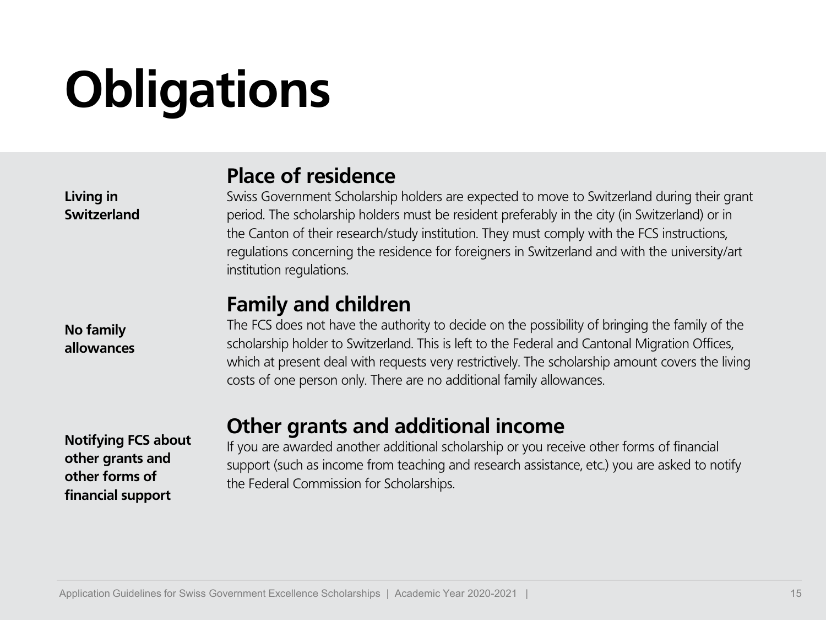## **Obligations**

**Living in Switzerland**

**No family allowances**

**Notifying FCS about other grants and other forms of financial support**

#### **Place of residence**

Swiss Government Scholarship holders are expected to move to Switzerland during their grant period. The scholarship holders must be resident preferably in the city (in Switzerland) or in the Canton of their research/study institution. They must comply with the FCS instructions, regulations concerning the residence for foreigners in Switzerland and with the university/art institution regulations.

#### **Family and children**

The FCS does not have the authority to decide on the possibility of bringing the family of the scholarship holder to Switzerland. This is left to the Federal and Cantonal Migration Offices, which at present deal with requests very restrictively. The scholarship amount covers the living costs of one person only. There are no additional family allowances.

#### **Other grants and additional income**

If you are awarded another additional scholarship or you receive other forms of financial support (such as income from teaching and research assistance, etc.) you are asked to notify the Federal Commission for Scholarships.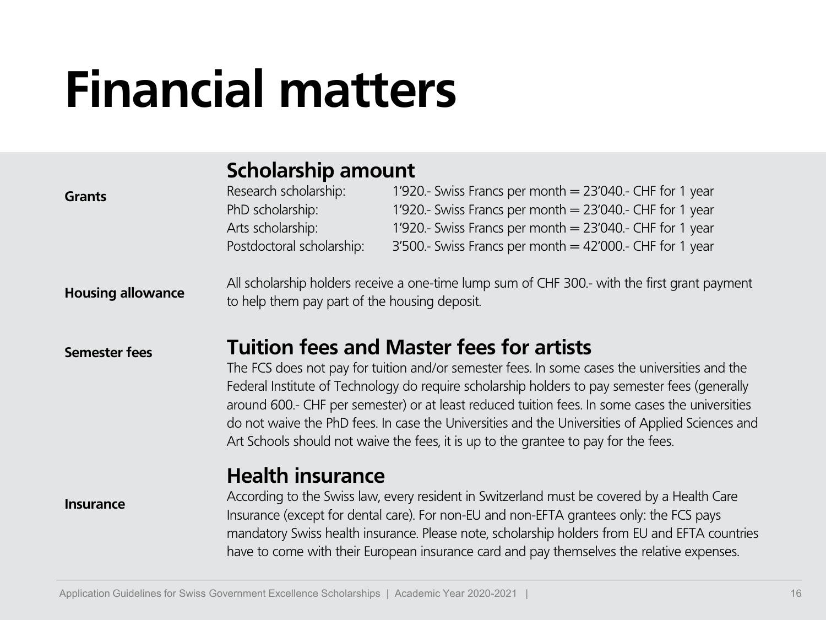### **Financial matters**

#### **Scholarship amount**

| <b>Grants</b>            | Research scholarship:<br>PhD scholarship:<br>Arts scholarship:<br>Postdoctoral scholarship:                                                                                                                                                                                                                                                                                                                                                                                                                                                      | 1'920.- Swiss Francs per month = 23'040.- CHF for 1 year<br>1'920.- Swiss Francs per month = 23'040.- CHF for 1 year<br>1'920.- Swiss Francs per month = 23'040.- CHF for 1 year<br>$3'500$ .- Swiss Francs per month = 42'000.- CHF for 1 year                                                                                                                                     |
|--------------------------|--------------------------------------------------------------------------------------------------------------------------------------------------------------------------------------------------------------------------------------------------------------------------------------------------------------------------------------------------------------------------------------------------------------------------------------------------------------------------------------------------------------------------------------------------|-------------------------------------------------------------------------------------------------------------------------------------------------------------------------------------------------------------------------------------------------------------------------------------------------------------------------------------------------------------------------------------|
| <b>Housing allowance</b> | to help them pay part of the housing deposit.                                                                                                                                                                                                                                                                                                                                                                                                                                                                                                    | All scholarship holders receive a one-time lump sum of CHF 300.- with the first grant payment                                                                                                                                                                                                                                                                                       |
| <b>Semester fees</b>     | <b>Tuition fees and Master fees for artists</b><br>The FCS does not pay for tuition and/or semester fees. In some cases the universities and the<br>Federal Institute of Technology do require scholarship holders to pay semester fees (generally<br>around 600.- CHF per semester) or at least reduced tuition fees. In some cases the universities<br>do not waive the PhD fees. In case the Universities and the Universities of Applied Sciences and<br>Art Schools should not waive the fees, it is up to the grantee to pay for the fees. |                                                                                                                                                                                                                                                                                                                                                                                     |
| <b>Insurance</b>         | <b>Health insurance</b>                                                                                                                                                                                                                                                                                                                                                                                                                                                                                                                          | According to the Swiss law, every resident in Switzerland must be covered by a Health Care<br>Insurance (except for dental care). For non-EU and non-EFTA grantees only: the FCS pays<br>mandatory Swiss health insurance. Please note, scholarship holders from EU and EFTA countries<br>have to come with their European insurance card and pay themselves the relative expenses. |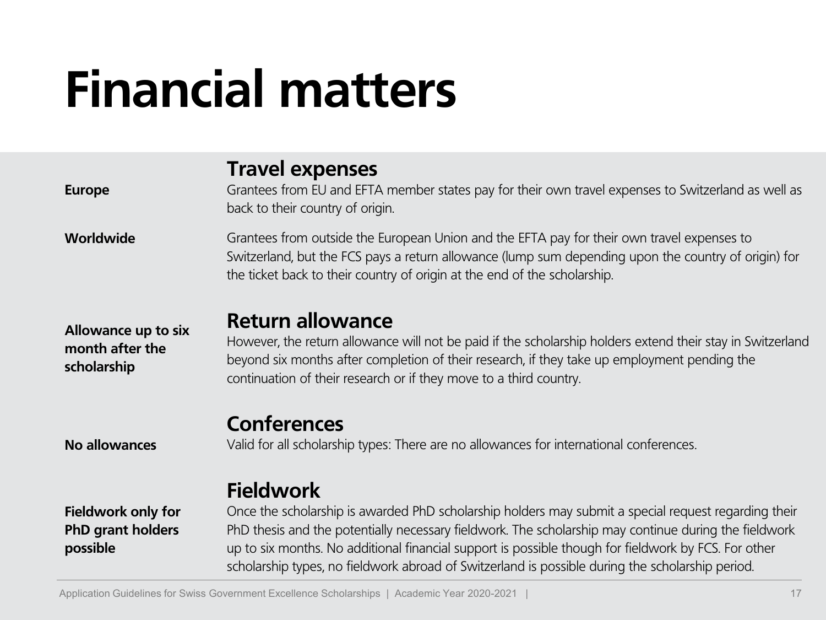### **Financial matters**

| <b>Europe</b>                                                     | <b>Travel expenses</b><br>Grantees from EU and EFTA member states pay for their own travel expenses to Switzerland as well as<br>back to their country of origin.                                                                                                                                                                                                                                                                             |
|-------------------------------------------------------------------|-----------------------------------------------------------------------------------------------------------------------------------------------------------------------------------------------------------------------------------------------------------------------------------------------------------------------------------------------------------------------------------------------------------------------------------------------|
| Worldwide                                                         | Grantees from outside the European Union and the EFTA pay for their own travel expenses to<br>Switzerland, but the FCS pays a return allowance (lump sum depending upon the country of origin) for<br>the ticket back to their country of origin at the end of the scholarship.                                                                                                                                                               |
| Allowance up to six<br>month after the<br>scholarship             | <b>Return allowance</b><br>However, the return allowance will not be paid if the scholarship holders extend their stay in Switzerland<br>beyond six months after completion of their research, if they take up employment pending the<br>continuation of their research or if they move to a third country.                                                                                                                                   |
| No allowances                                                     | <b>Conferences</b><br>Valid for all scholarship types: There are no allowances for international conferences.                                                                                                                                                                                                                                                                                                                                 |
| <b>Fieldwork only for</b><br><b>PhD grant holders</b><br>possible | <b>Fieldwork</b><br>Once the scholarship is awarded PhD scholarship holders may submit a special request regarding their<br>PhD thesis and the potentially necessary fieldwork. The scholarship may continue during the fieldwork<br>up to six months. No additional financial support is possible though for fieldwork by FCS. For other<br>scholarship types, no fieldwork abroad of Switzerland is possible during the scholarship period. |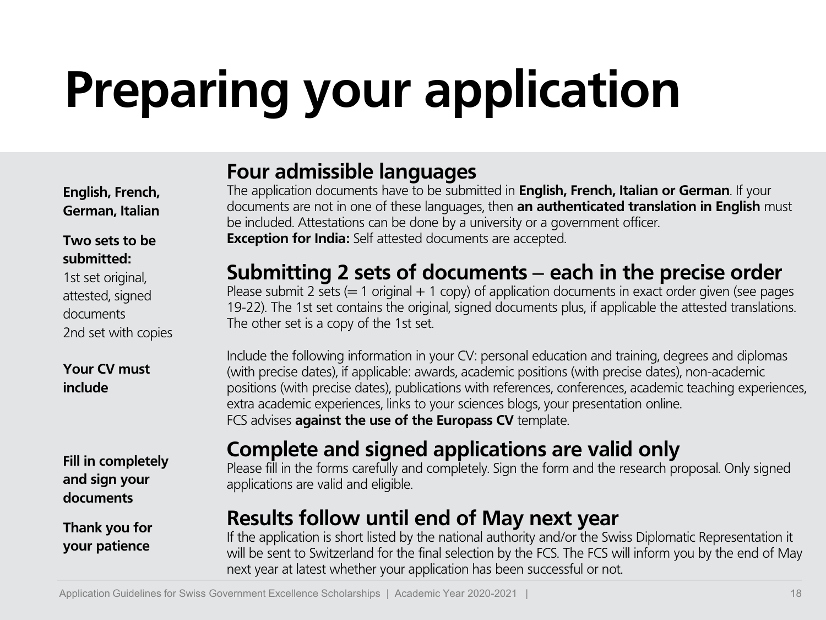**English, French, German, Italian**

#### **Two sets to be submitted:**

1st set original, attested, signed documents 2nd set with copies

**Your CV must include**

**Fill in completely and sign your documents**

**Thank you for your patience**

#### **Four admissible languages**

The application documents have to be submitted in **English, French, Italian or German**. If your documents are not in one of these languages, then **an authenticated translation in English** must be included. Attestations can be done by a university or a government officer. **Exception for India:** Self attested documents are accepted.

### **Submitting 2 sets of documents** ‒ **each in the precise order**

Please submit 2 sets  $(= 1 \text{ original} + 1 \text{ copy})$  of application documents in exact order given (see pages 19-22). The 1st set contains the original, signed documents plus, if applicable the attested translations. The other set is a copy of the 1st set.

Include the following information in your CV: personal education and training, degrees and diplomas (with precise dates), if applicable: awards, academic positions (with precise dates), non-academic positions (with precise dates), publications with references, conferences, academic teaching experiences, extra academic experiences, links to your sciences blogs, your presentation online. FCS advises **against the use of the Europass CV** template.

### **Complete and signed applications are valid only**

Please fill in the forms carefully and completely. Sign the form and the research proposal. Only signed applications are valid and eligible.

### **Results follow until end of May next year**

If the application is short listed by the national authority and/or the Swiss Diplomatic Representation it will be sent to Switzerland for the final selection by the FCS. The FCS will inform you by the end of May next year at latest whether your application has been successful or not.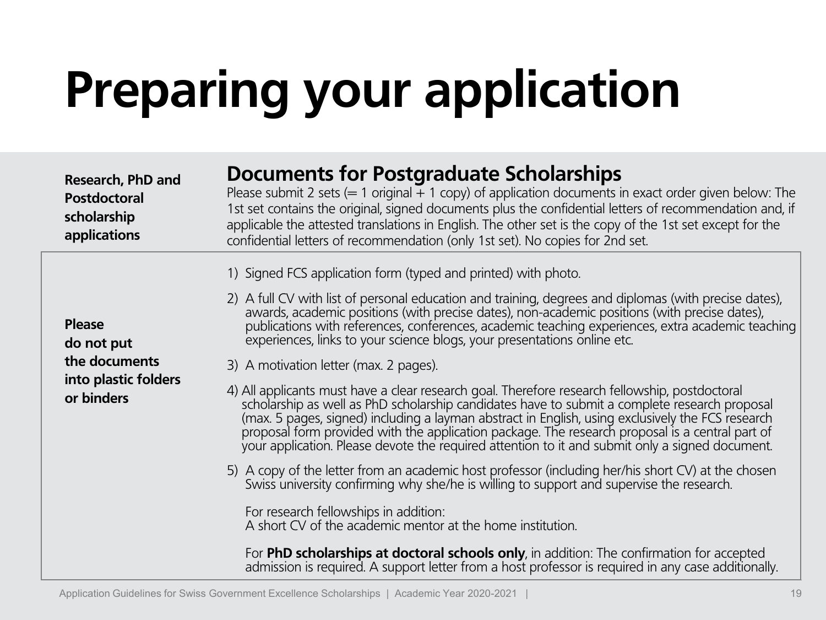| <b>Research, PhD and</b><br><b>Postdoctoral</b><br>scholarship<br>applications | <b>Documents for Postgraduate Scholarships</b><br>Please submit 2 sets ( $=$ 1 original $+$ 1 copy) of application documents in exact order given below: The<br>1st set contains the original, signed documents plus the confidential letters of recommendation and, if<br>applicable the attested translations in English. The other set is the copy of the 1st set except for the<br>confidential letters of recommendation (only 1st set). No copies for 2nd set.                                                                                 |
|--------------------------------------------------------------------------------|------------------------------------------------------------------------------------------------------------------------------------------------------------------------------------------------------------------------------------------------------------------------------------------------------------------------------------------------------------------------------------------------------------------------------------------------------------------------------------------------------------------------------------------------------|
| <b>Please</b><br>do not put                                                    | 1) Signed FCS application form (typed and printed) with photo.<br>2) A full CV with list of personal education and training, degrees and diplomas (with precise dates),<br>awards, academic positions (with precise dates), non-academic positions (with precise dates),<br>publications with references, conferences, academic teaching experiences, extra academic teaching<br>experiences, links to your science blogs, your presentations online etc.                                                                                            |
| the documents<br>into plastic folders<br>or binders                            | 3) A motivation letter (max. 2 pages).<br>4) All applicants must have a clear research goal. Therefore research fellowship, postdoctoral<br>scholarship as well as PhD scholarship candidates have to submit a complete research proposal<br>(max. 5 pages, signed) including a layman abstract in English, using exclusively the FCS research<br>proposal form provided with the application package. The research proposal is a central part of<br>your application. Please devote the required attention to it and submit only a signed document. |
|                                                                                | 5) A copy of the letter from an academic host professor (including her/his short CV) at the chosen<br>Swiss university confirming why she/he is willing to support and supervise the research.<br>For research fellowships in addition:<br>A short CV of the academic mentor at the home institution.                                                                                                                                                                                                                                                |
|                                                                                | For PhD scholarships at doctoral schools only, in addition: The confirmation for accepted<br>admission is required. A support letter from a host professor is required in any case additionally.                                                                                                                                                                                                                                                                                                                                                     |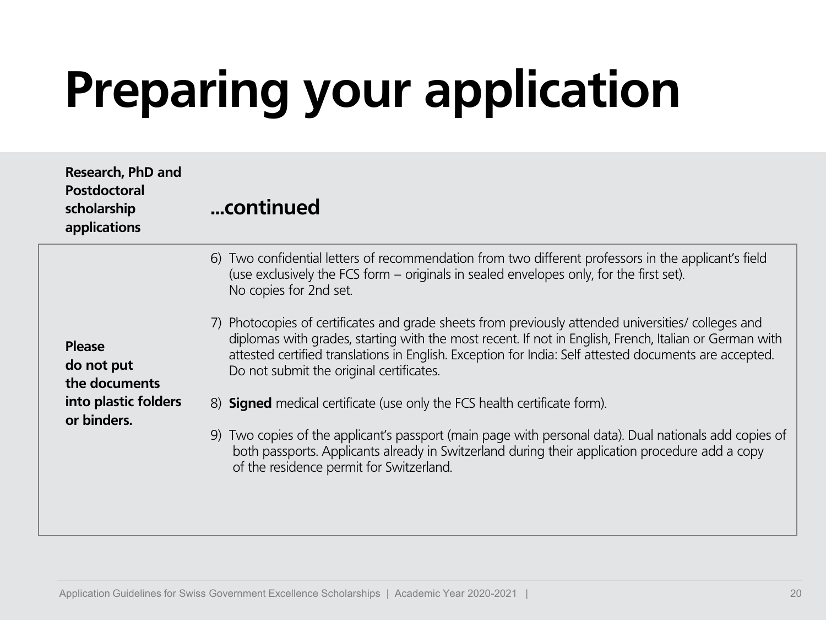| Research, PhD and<br><b>Postdoctoral</b><br>scholarship<br>applications             | continued                                                                                                                                                                                                                                                                                                                                                                                                                                                                                                                                                                                        |
|-------------------------------------------------------------------------------------|--------------------------------------------------------------------------------------------------------------------------------------------------------------------------------------------------------------------------------------------------------------------------------------------------------------------------------------------------------------------------------------------------------------------------------------------------------------------------------------------------------------------------------------------------------------------------------------------------|
| <b>Please</b><br>do not put<br>the documents<br>into plastic folders<br>or binders. | 6) Two confidential letters of recommendation from two different professors in the applicant's field<br>(use exclusively the FCS form – originals in sealed envelopes only, for the first set).<br>No copies for 2nd set.<br>7) Photocopies of certificates and grade sheets from previously attended universities/ colleges and<br>diplomas with grades, starting with the most recent. If not in English, French, Italian or German with<br>attested certified translations in English. Exception for India: Self attested documents are accepted.<br>Do not submit the original certificates. |
|                                                                                     | 8) <b>Signed</b> medical certificate (use only the FCS health certificate form).<br>9) Two copies of the applicant's passport (main page with personal data). Dual nationals add copies of<br>both passports. Applicants already in Switzerland during their application procedure add a copy<br>of the residence permit for Switzerland.                                                                                                                                                                                                                                                        |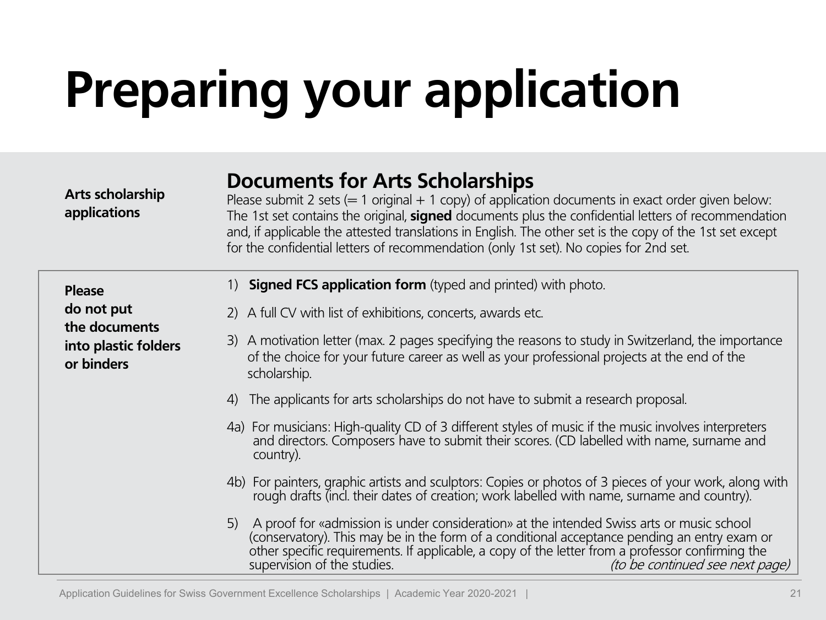#### **Documents for Arts Scholarships**

Please submit 2 sets ( $= 1$  original  $+ 1$  copy) of application documents in exact order given below: The 1st set contains the original, **signed** documents plus the confidential letters of recommendation and, if applicable the attested translations in English. The other set is the copy of the 1st set except for the confidential letters of recommendation (only 1st set). No copies for 2nd set.

| <b>Please</b>                                       |    | 1) <b>Signed FCS application form</b> (typed and printed) with photo.                                                                                                                                                                                                                                                                                           |
|-----------------------------------------------------|----|-----------------------------------------------------------------------------------------------------------------------------------------------------------------------------------------------------------------------------------------------------------------------------------------------------------------------------------------------------------------|
| do not put                                          |    | 2) A full CV with list of exhibitions, concerts, awards etc.                                                                                                                                                                                                                                                                                                    |
| the documents<br>into plastic folders<br>or binders |    | 3) A motivation letter (max. 2 pages specifying the reasons to study in Switzerland, the importance<br>of the choice for your future career as well as your professional projects at the end of the<br>scholarship.                                                                                                                                             |
|                                                     | 4) | The applicants for arts scholarships do not have to submit a research proposal.                                                                                                                                                                                                                                                                                 |
|                                                     |    | 4a) For musicians: High-quality CD of 3 different styles of music if the music involves interpreters and directors. Composers have to submit their scores. (CD labelled with name, surname and<br>country).                                                                                                                                                     |
|                                                     |    | 4b) For painters, graphic artists and sculptors: Copies or photos of 3 pieces of your work, along with<br>rough drafts (incl. their dates of creation; work labelled with name, surname and country).                                                                                                                                                           |
|                                                     | 5) | A proof for «admission is under consideration» at the intended Swiss arts or music school<br>(conservatory). This may be in the form of a conditional acceptance pending an entry exam or<br>other specific requirements. If applicable, a copy of the letter from a professor confirming the<br>supervision of the studies.<br>(to be continued see next page) |

**Arts scholarship applications**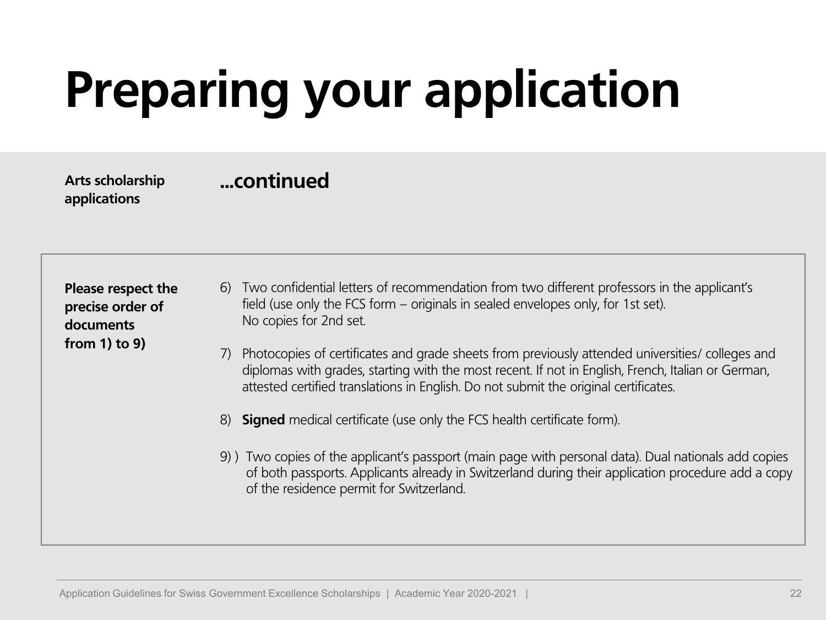**...continued Arts scholarship applications**

**Please respect the precise order of documents from 1) to 9)**

- 6) Two confidential letters of recommendation from two different professors in the applicant's field (use only the FCS form – originals in sealed envelopes only, for 1st set). No copies for 2nd set.
- 7) Photocopies of certificates and grade sheets from previously attended universities/ colleges and diplomas with grades, starting with the most recent. If not in English, French, Italian or German, attested certified translations in English. Do not submit the original certificates.
- 8) **Signed** medical certificate (use only the FCS health certificate form).
- 9) ) Two copies of the applicant's passport (main page with personal data). Dual nationals add copies of both passports. Applicants already in Switzerland during their application procedure add a copy of the residence permit for Switzerland.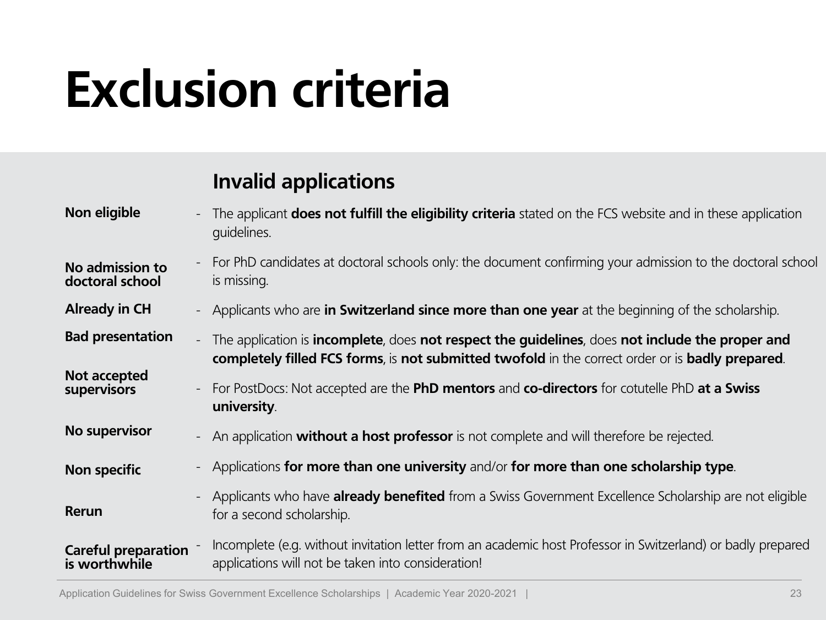### **Exclusion criteria**

### **Invalid applications**

| Non eligible                                | The applicant <b>does not fulfill the eligibility criteria</b> stated on the FCS website and in these application<br>$\overline{\phantom{a}}$<br>quidelines.                                                                    |  |
|---------------------------------------------|---------------------------------------------------------------------------------------------------------------------------------------------------------------------------------------------------------------------------------|--|
| No admission to<br>doctoral school          | For PhD candidates at doctoral schools only: the document confirming your admission to the doctoral school<br>$\overline{\phantom{a}}$<br>is missing.                                                                           |  |
| <b>Already in CH</b>                        | - Applicants who are in Switzerland since more than one year at the beginning of the scholarship.                                                                                                                               |  |
| <b>Bad presentation</b>                     | The application is incomplete, does not respect the guidelines, does not include the proper and<br>$\overline{\phantom{a}}$<br>completely filled FCS forms, is not submitted twofold in the correct order or is badly prepared. |  |
| Not accepted<br><b>supervisors</b>          | For PostDocs: Not accepted are the PhD mentors and co-directors for cotutelle PhD at a Swiss<br>$\overline{\phantom{a}}$<br>university.                                                                                         |  |
| No supervisor                               | An application <b>without a host professor</b> is not complete and will therefore be rejected.<br>$\blacksquare$                                                                                                                |  |
| Non specific                                | Applications for more than one university and/or for more than one scholarship type.<br>$\overline{\phantom{a}}$                                                                                                                |  |
| Rerun                                       | Applicants who have <b>already benefited</b> from a Swiss Government Excellence Scholarship are not eligible<br>$\overline{\phantom{a}}$<br>for a second scholarship.                                                           |  |
| <b>Careful preparation</b><br>is worthwhile | Incomplete (e.g. without invitation letter from an academic host Professor in Switzerland) or badly prepared<br>applications will not be taken into consideration!                                                              |  |